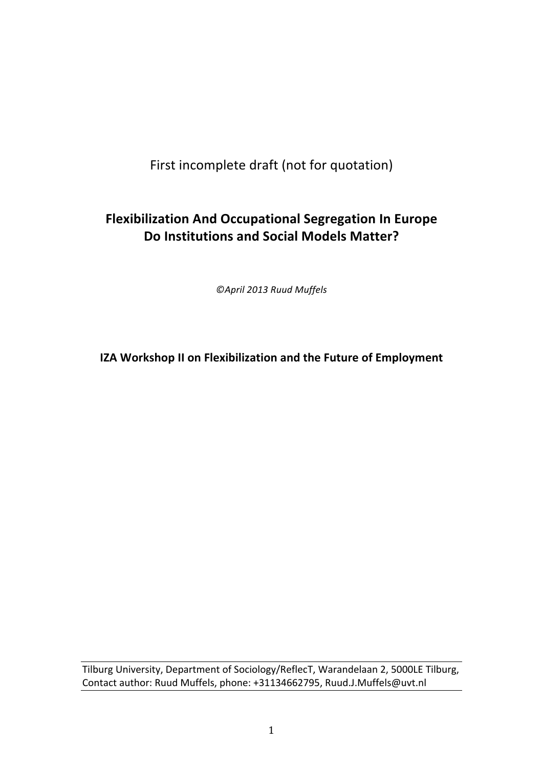# First incomplete draft (not for quotation)

# **Flexibilization And Occupational Segregation In Europe Do Institutions and Social Models Matter?**

*©April 2013 Ruud Muffels*

**IZA Workshop II on Flexibilization and the Future of Employment** 

Tilburg University, Department of Sociology/ReflecT, Warandelaan 2, 5000LE Tilburg, Contact author: Ruud Muffels, phone: +31134662795, Ruud.J.Muffels@uvt.nl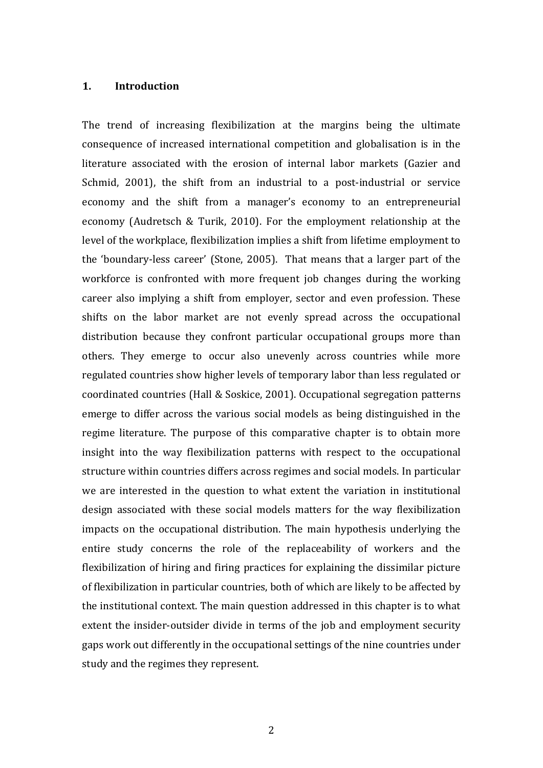## **1. Introduction**

The trend of increasing flexibilization at the margins being the ultimate consequence of increased international competition and globalisation is in the literature associated with the erosion of internal labor markets (Gazier and Schmid, 2001), the shift from an industrial to a post-industrial or service economy and the shift from a manager's economy to an entrepreneurial economy (Audretsch & Turik, 2010). For the employment relationship at the level of the workplace, flexibilization implies a shift from lifetime employment to the 'boundary-less career' (Stone, 2005). That means that a larger part of the workforce is confronted with more frequent job changes during the working career also implying a shift from employer, sector and even profession. These shifts on the labor market are not evenly spread across the occupational distribution because they confront particular occupational groups more than others. They emerge to occur also unevenly across countries while more regulated countries show higher levels of temporary labor than less regulated or coordinated countries (Hall & Soskice, 2001). Occupational segregation patterns emerge to differ across the various social models as being distinguished in the regime literature. The purpose of this comparative chapter is to obtain more insight into the way flexibilization patterns with respect to the occupational structure within countries differs across regimes and social models. In particular we are interested in the question to what extent the variation in institutional design associated with these social models matters for the way flexibilization impacts on the occupational distribution. The main hypothesis underlying the entire study concerns the role of the replaceability of workers and the flexibilization of hiring and firing practices for explaining the dissimilar picture of flexibilization in particular countries, both of which are likely to be affected by the institutional context. The main question addressed in this chapter is to what extent the insider-outsider divide in terms of the job and employment security gaps work out differently in the occupational settings of the nine countries under study and the regimes they represent.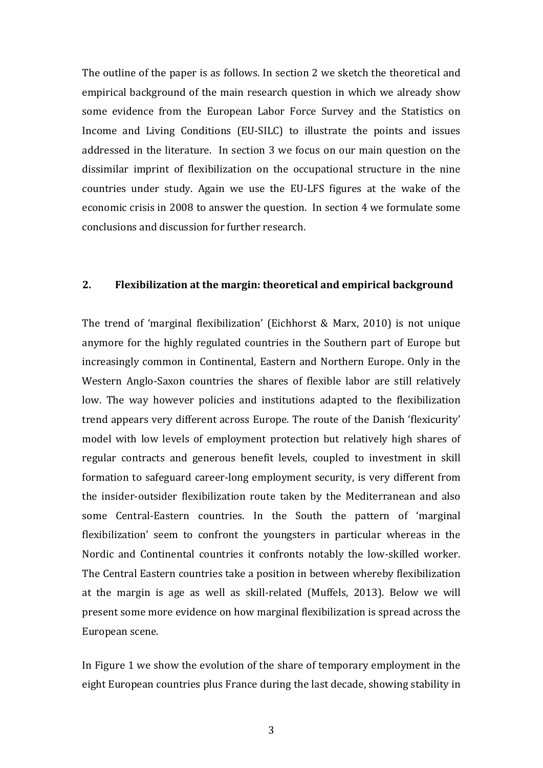The outline of the paper is as follows. In section 2 we sketch the theoretical and empirical background of the main research question in which we already show some evidence from the European Labor Force Survey and the Statistics on Income and Living Conditions (EU-SILC) to illustrate the points and issues addressed in the literature. In section 3 we focus on our main question on the dissimilar imprint of flexibilization on the occupational structure in the nine countries under study. Again we use the EU-LFS figures at the wake of the economic crisis in 2008 to answer the question. In section 4 we formulate some conclusions and discussion for further research.

# **2. Flexibilization at the margin: theoretical and empirical background**

The trend of 'marginal flexibilization' (Eichhorst & Marx,  $2010$ ) is not unique anymore for the highly regulated countries in the Southern part of Europe but increasingly common in Continental, Eastern and Northern Europe. Only in the Western Anglo-Saxon countries the shares of flexible labor are still relatively low. The way however policies and institutions adapted to the flexibilization trend appears very different across Europe. The route of the Danish 'flexicurity' model with low levels of employment protection but relatively high shares of regular contracts and generous benefit levels, coupled to investment in skill formation to safeguard career-long employment security, is very different from the insider-outsider flexibilization route taken by the Mediterranean and also some Central-Eastern countries. In the South the pattern of 'marginal flexibilization' seem to confront the youngsters in particular whereas in the Nordic and Continental countries it confronts notably the low-skilled worker. The Central Eastern countries take a position in between whereby flexibilization at the margin is age as well as skill-related (Muffels, 2013). Below we will present some more evidence on how marginal flexibilization is spread across the European scene.

In Figure 1 we show the evolution of the share of temporary employment in the eight European countries plus France during the last decade, showing stability in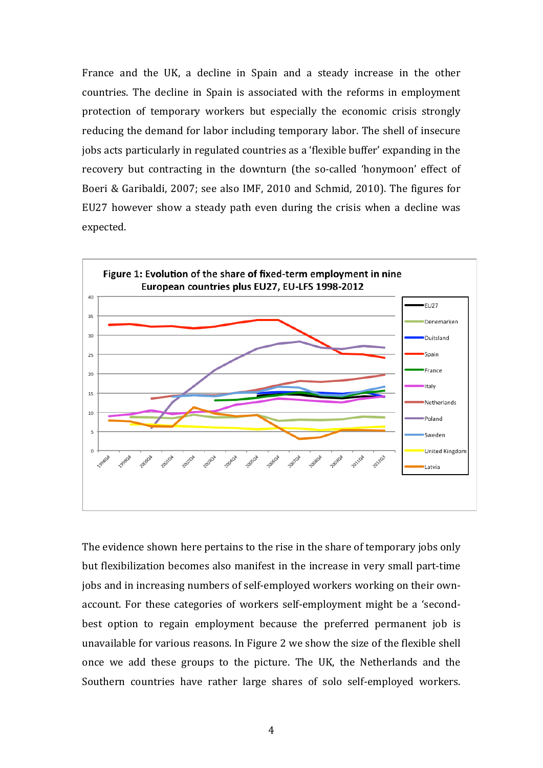France and the UK, a decline in Spain and a steady increase in the other countries. The decline in Spain is associated with the reforms in employment protection of temporary workers but especially the economic crisis strongly reducing the demand for labor including temporary labor. The shell of insecure jobs acts particularly in regulated countries as a 'flexible buffer' expanding in the recovery but contracting in the downturn (the so-called 'honymoon' effect of Boeri & Garibaldi, 2007; see also IMF, 2010 and Schmid, 2010). The figures for EU27 however show a steady path even during the crisis when a decline was expected. 



The evidence shown here pertains to the rise in the share of temporary jobs only but flexibilization becomes also manifest in the increase in very small part-time jobs and in increasing numbers of self-employed workers working on their ownaccount. For these categories of workers self-employment might be a 'secondbest option to regain employment because the preferred permanent job is unavailable for various reasons. In Figure 2 we show the size of the flexible shell once we add these groups to the picture. The UK, the Netherlands and the Southern countries have rather large shares of solo self-employed workers.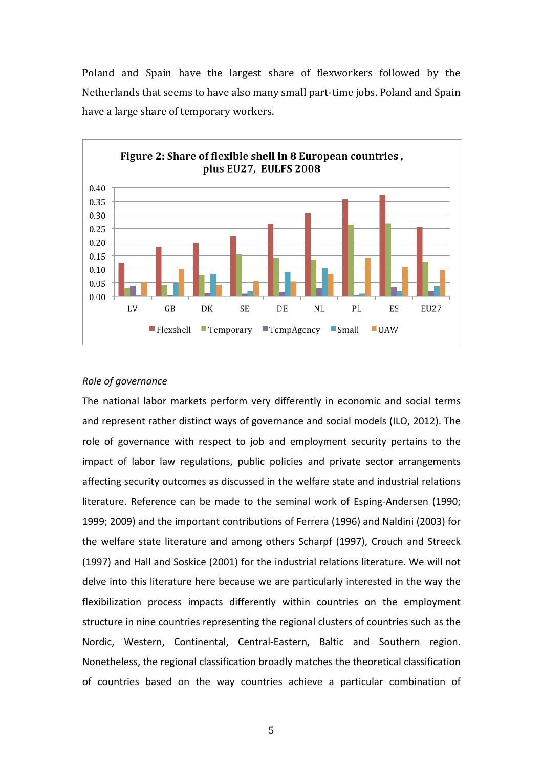Poland and Spain have the largest share of flexworkers followed by the Netherlands that seems to have also many small part-time jobs. Poland and Spain have a large share of temporary workers.



#### *Role of governance*

The national labor markets perform very differently in economic and social terms and represent rather distinct ways of governance and social models (ILO, 2012). The role of governance with respect to job and employment security pertains to the impact of labor law regulations, public policies and private sector arrangements affecting security outcomes as discussed in the welfare state and industrial relations literature. Reference can be made to the seminal work of Esping-Andersen (1990; 1999; 2009) and the important contributions of Ferrera (1996) and Naldini (2003) for the welfare state literature and among others Scharpf (1997), Crouch and Streeck (1997) and Hall and Soskice (2001) for the industrial relations literature. We will not delve into this literature here because we are particularly interested in the way the flexibilization process impacts differently within countries on the employment structure in nine countries representing the regional clusters of countries such as the Nordic, Western, Continental, Central-Eastern, Baltic and Southern region. Nonetheless, the regional classification broadly matches the theoretical classification of countries based on the way countries achieve a particular combination of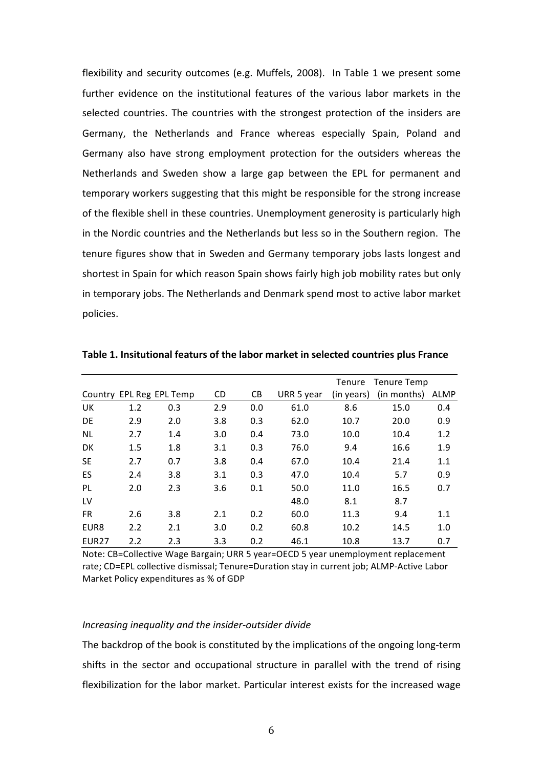flexibility and security outcomes (e.g. Muffels, 2008). In Table 1 we present some further evidence on the institutional features of the various labor markets in the selected countries. The countries with the strongest protection of the insiders are Germany, the Netherlands and France whereas especially Spain, Poland and Germany also have strong employment protection for the outsiders whereas the Netherlands and Sweden show a large gap between the EPL for permanent and temporary workers suggesting that this might be responsible for the strong increase of the flexible shell in these countries. Unemployment generosity is particularly high in the Nordic countries and the Netherlands but less so in the Southern region. The tenure figures show that in Sweden and Germany temporary jobs lasts longest and shortest in Spain for which reason Spain shows fairly high job mobility rates but only in temporary jobs. The Netherlands and Denmark spend most to active labor market policies.

|                   |     |                          |     |     |            | Tenure     | Tenure Temp |             |
|-------------------|-----|--------------------------|-----|-----|------------|------------|-------------|-------------|
|                   |     | Country EPL Reg EPL Temp | CD. | CB. | URR 5 year | (in years) | (in months) | <b>ALMP</b> |
| UK.               | 1.2 | 0.3                      | 2.9 | 0.0 | 61.0       | 8.6        | 15.0        | 0.4         |
| <b>DE</b>         | 2.9 | 2.0                      | 3.8 | 0.3 | 62.0       | 10.7       | 20.0        | 0.9         |
| <b>NL</b>         | 2.7 | 1.4                      | 3.0 | 0.4 | 73.0       | 10.0       | 10.4        | 1.2         |
| DK                | 1.5 | 1.8                      | 3.1 | 0.3 | 76.0       | 9.4        | 16.6        | 1.9         |
| <b>SE</b>         | 2.7 | 0.7                      | 3.8 | 0.4 | 67.0       | 10.4       | 21.4        | 1.1         |
| ES                | 2.4 | 3.8                      | 3.1 | 0.3 | 47.0       | 10.4       | 5.7         | 0.9         |
| <b>PL</b>         | 2.0 | 2.3                      | 3.6 | 0.1 | 50.0       | 11.0       | 16.5        | 0.7         |
| LV                |     |                          |     |     | 48.0       | 8.1        | 8.7         |             |
| FR.               | 2.6 | 3.8                      | 2.1 | 0.2 | 60.0       | 11.3       | 9.4         | 1.1         |
| EUR8              | 2.2 | 2.1                      | 3.0 | 0.2 | 60.8       | 10.2       | 14.5        | 1.0         |
| EUR <sub>27</sub> | 2.2 | 2.3                      | 3.3 | 0.2 | 46.1       | 10.8       | 13.7        | 0.7         |

Table 1. Insitutional featurs of the labor market in selected countries plus France

Note: CB=Collective Wage Bargain; URR 5 year=OECD 5 year unemployment replacement rate; CD=EPL collective dismissal; Tenure=Duration stay in current job; ALMP-Active Labor Market Policy expenditures as % of GDP

## *Increasing inequality and the insider-outsider divide*

The backdrop of the book is constituted by the implications of the ongoing long-term shifts in the sector and occupational structure in parallel with the trend of rising flexibilization for the labor market. Particular interest exists for the increased wage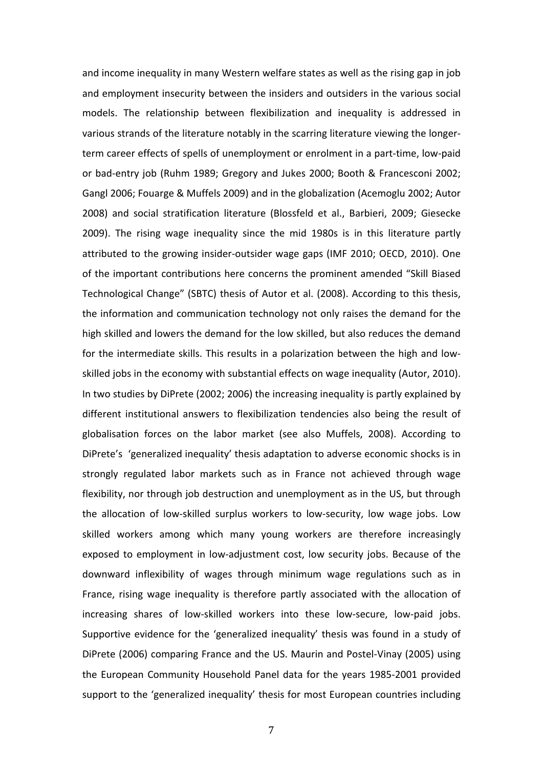and income inequality in many Western welfare states as well as the rising gap in job and employment insecurity between the insiders and outsiders in the various social models. The relationship between flexibilization and inequality is addressed in various strands of the literature notably in the scarring literature viewing the longerterm career effects of spells of unemployment or enrolment in a part-time, low-paid or bad-entry job (Ruhm 1989; Gregory and Jukes 2000; Booth & Francesconi 2002; Gangl 2006; Fouarge & Muffels 2009) and in the globalization (Acemoglu 2002; Autor 2008) and social stratification literature (Blossfeld et al., Barbieri, 2009; Giesecke 2009). The rising wage inequality since the mid 1980s is in this literature partly attributed to the growing insider-outsider wage gaps (IMF 2010; OECD, 2010). One of the important contributions here concerns the prominent amended "Skill Biased Technological Change" (SBTC) thesis of Autor et al. (2008). According to this thesis, the information and communication technology not only raises the demand for the high skilled and lowers the demand for the low skilled, but also reduces the demand for the intermediate skills. This results in a polarization between the high and lowskilled jobs in the economy with substantial effects on wage inequality (Autor, 2010). In two studies by DiPrete (2002; 2006) the increasing inequality is partly explained by different institutional answers to flexibilization tendencies also being the result of globalisation forces on the labor market (see also Muffels, 2008). According to DiPrete's 'generalized inequality' thesis adaptation to adverse economic shocks is in strongly regulated labor markets such as in France not achieved through wage flexibility, nor through job destruction and unemployment as in the US, but through the allocation of low-skilled surplus workers to low-security, low wage jobs. Low skilled workers among which many young workers are therefore increasingly exposed to employment in low-adjustment cost, low security jobs. Because of the downward inflexibility of wages through minimum wage regulations such as in France, rising wage inequality is therefore partly associated with the allocation of increasing shares of low-skilled workers into these low-secure, low-paid jobs. Supportive evidence for the 'generalized inequality' thesis was found in a study of DiPrete (2006) comparing France and the US. Maurin and Postel-Vinay (2005) using the European Community Household Panel data for the years 1985-2001 provided support to the 'generalized inequality' thesis for most European countries including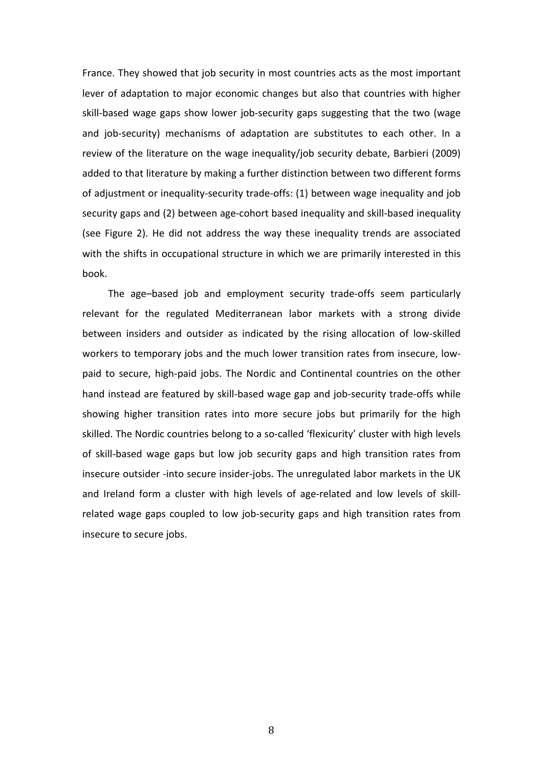France. They showed that job security in most countries acts as the most important lever of adaptation to major economic changes but also that countries with higher skill-based wage gaps show lower job-security gaps suggesting that the two (wage and job-security) mechanisms of adaptation are substitutes to each other. In a review of the literature on the wage inequality/job security debate, Barbieri (2009) added to that literature by making a further distinction between two different forms of adjustment or inequality-security trade-offs: (1) between wage inequality and job security gaps and (2) between age-cohort based inequality and skill-based inequality (see Figure 2). He did not address the way these inequality trends are associated with the shifts in occupational structure in which we are primarily interested in this book. 

The age-based job and employment security trade-offs seem particularly relevant for the regulated Mediterranean labor markets with a strong divide between insiders and outsider as indicated by the rising allocation of low-skilled workers to temporary jobs and the much lower transition rates from insecure, lowpaid to secure, high-paid jobs. The Nordic and Continental countries on the other hand instead are featured by skill-based wage gap and job-security trade-offs while showing higher transition rates into more secure jobs but primarily for the high skilled. The Nordic countries belong to a so-called 'flexicurity' cluster with high levels of skill-based wage gaps but low job security gaps and high transition rates from insecure outsider -into secure insider-jobs. The unregulated labor markets in the UK and Ireland form a cluster with high levels of age-related and low levels of skillrelated wage gaps coupled to low job-security gaps and high transition rates from insecure to secure iobs.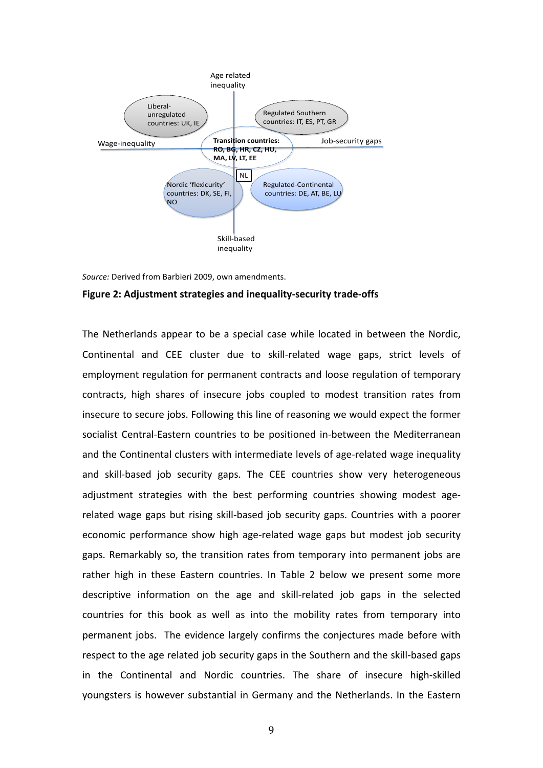

*Source:* Derived from Barbieri 2009, own amendments.

#### Figure 2: Adjustment strategies and inequality-security trade-offs

The Netherlands appear to be a special case while located in between the Nordic, Continental and CEE cluster due to skill-related wage gaps, strict levels of employment regulation for permanent contracts and loose regulation of temporary contracts, high shares of insecure jobs coupled to modest transition rates from insecure to secure jobs. Following this line of reasoning we would expect the former socialist Central-Eastern countries to be positioned in-between the Mediterranean and the Continental clusters with intermediate levels of age-related wage inequality and skill-based job security gaps. The CEE countries show very heterogeneous adjustment strategies with the best performing countries showing modest agerelated wage gaps but rising skill-based job security gaps. Countries with a poorer economic performance show high age-related wage gaps but modest job security gaps. Remarkably so, the transition rates from temporary into permanent jobs are rather high in these Eastern countries. In Table 2 below we present some more descriptive information on the age and skill-related job gaps in the selected countries for this book as well as into the mobility rates from temporary into permanent jobs. The evidence largely confirms the conjectures made before with respect to the age related job security gaps in the Southern and the skill-based gaps in the Continental and Nordic countries. The share of insecure high-skilled youngsters is however substantial in Germany and the Netherlands. In the Eastern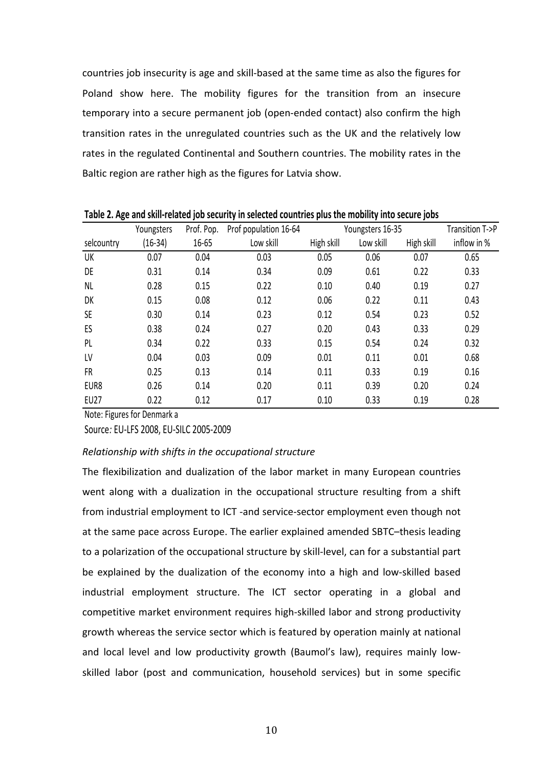countries job insecurity is age and skill-based at the same time as also the figures for Poland show here. The mobility figures for the transition from an insecure temporary into a secure permanent job (open-ended contact) also confirm the high transition rates in the unregulated countries such as the UK and the relatively low rates in the regulated Continental and Southern countries. The mobility rates in the Baltic region are rather high as the figures for Latvia show.

|             | <b>TWEE SETTING SHIP THE LOWER DESCRIPTION INTO SERVED SOMETIME AND THOMASTIC HIPS SOURCE JUNE</b> |            |                       |            |                  |            |                 |
|-------------|----------------------------------------------------------------------------------------------------|------------|-----------------------|------------|------------------|------------|-----------------|
|             | Youngsters                                                                                         | Prof. Pop. | Prof population 16-64 |            | Youngsters 16-35 |            | Transition T->P |
| selcountry  | $(16-34)$                                                                                          | 16-65      | Low skill             | High skill | Low skill        | High skill | inflow in %     |
| UK          | 0.07                                                                                               | 0.04       | 0.03                  | 0.05       | 0.06             | 0.07       | 0.65            |
| DE          | 0.31                                                                                               | 0.14       | 0.34                  | 0.09       | 0.61             | 0.22       | 0.33            |
| <b>NL</b>   | 0.28                                                                                               | 0.15       | 0.22                  | 0.10       | 0.40             | 0.19       | 0.27            |
| DK          | 0.15                                                                                               | 0.08       | 0.12                  | 0.06       | 0.22             | 0.11       | 0.43            |
| <b>SE</b>   | 0.30                                                                                               | 0.14       | 0.23                  | 0.12       | 0.54             | 0.23       | 0.52            |
| ES          | 0.38                                                                                               | 0.24       | 0.27                  | 0.20       | 0.43             | 0.33       | 0.29            |
| PL          | 0.34                                                                                               | 0.22       | 0.33                  | 0.15       | 0.54             | 0.24       | 0.32            |
| LV          | 0.04                                                                                               | 0.03       | 0.09                  | 0.01       | 0.11             | 0.01       | 0.68            |
| FR          | 0.25                                                                                               | 0.13       | 0.14                  | 0.11       | 0.33             | 0.19       | 0.16            |
| EUR8        | 0.26                                                                                               | 0.14       | 0.20                  | 0.11       | 0.39             | 0.20       | 0.24            |
| <b>EU27</b> | 0.22                                                                                               | 0.12       | 0.17                  | 0.10       | 0.33             | 0.19       | 0.28            |

**Table 2. Age and skill-related inh security in selected countries plus the mobility into secure inhs** 

Note: Figures for Denmark a

Source: EU-LFS 2008, EU-SILC 2005-2009

## *Relationship* with shifts in the occupational structure

The flexibilization and dualization of the labor market in many European countries went along with a dualization in the occupational structure resulting from a shift from industrial employment to ICT -and service-sector employment even though not at the same pace across Europe. The earlier explained amended SBTC–thesis leading to a polarization of the occupational structure by skill-level, can for a substantial part be explained by the dualization of the economy into a high and low-skilled based industrial employment structure. The ICT sector operating in a global and competitive market environment requires high-skilled labor and strong productivity growth whereas the service sector which is featured by operation mainly at national and local level and low productivity growth (Baumol's law), requires mainly lowskilled labor (post and communication, household services) but in some specific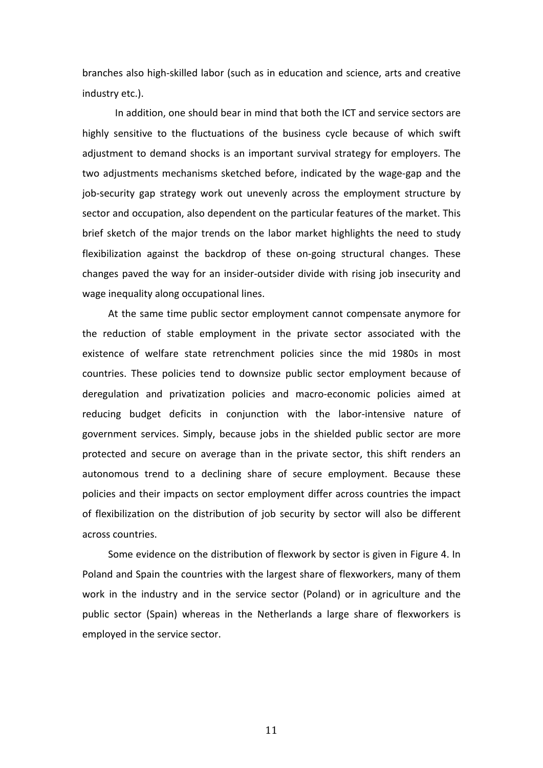branches also high-skilled labor (such as in education and science, arts and creative industry etc.). 

In addition, one should bear in mind that both the ICT and service sectors are highly sensitive to the fluctuations of the business cycle because of which swift adjustment to demand shocks is an important survival strategy for employers. The two adjustments mechanisms sketched before, indicated by the wage-gap and the job-security gap strategy work out unevenly across the employment structure by sector and occupation, also dependent on the particular features of the market. This brief sketch of the major trends on the labor market highlights the need to study flexibilization against the backdrop of these on-going structural changes. These changes paved the way for an insider-outsider divide with rising job insecurity and wage inequality along occupational lines.

At the same time public sector employment cannot compensate anymore for the reduction of stable employment in the private sector associated with the existence of welfare state retrenchment policies since the mid 1980s in most countries. These policies tend to downsize public sector employment because of deregulation and privatization policies and macro-economic policies aimed at reducing budget deficits in conjunction with the labor-intensive nature of government services. Simply, because jobs in the shielded public sector are more protected and secure on average than in the private sector, this shift renders an autonomous trend to a declining share of secure employment. Because these policies and their impacts on sector employment differ across countries the impact of flexibilization on the distribution of job security by sector will also be different across countries.

Some evidence on the distribution of flexwork by sector is given in Figure 4. In Poland and Spain the countries with the largest share of flexworkers, many of them work in the industry and in the service sector (Poland) or in agriculture and the public sector (Spain) whereas in the Netherlands a large share of flexworkers is employed in the service sector.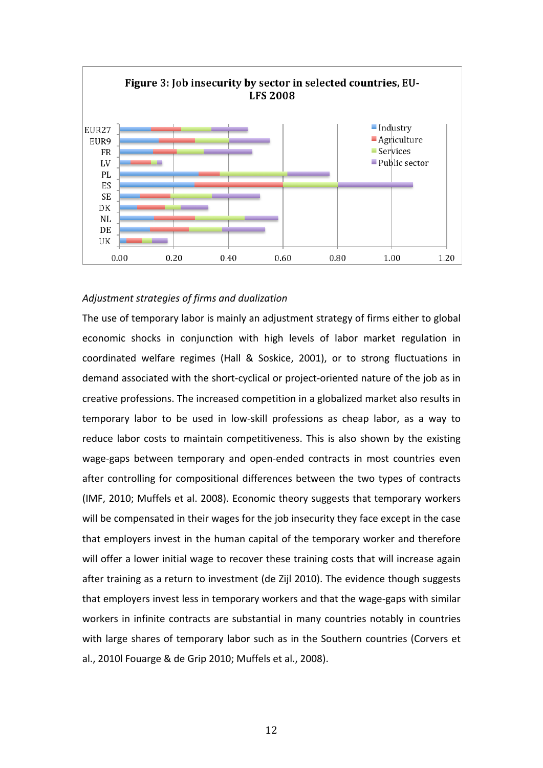

## *Adjustment strategies of firms and dualization*

The use of temporary labor is mainly an adjustment strategy of firms either to global economic shocks in conjunction with high levels of labor market regulation in coordinated welfare regimes (Hall & Soskice, 2001), or to strong fluctuations in demand associated with the short-cyclical or project-oriented nature of the job as in creative professions. The increased competition in a globalized market also results in temporary labor to be used in low-skill professions as cheap labor, as a way to reduce labor costs to maintain competitiveness. This is also shown by the existing wage-gaps between temporary and open-ended contracts in most countries even after controlling for compositional differences between the two types of contracts (IMF, 2010; Muffels et al. 2008). Economic theory suggests that temporary workers will be compensated in their wages for the job insecurity they face except in the case that employers invest in the human capital of the temporary worker and therefore will offer a lower initial wage to recover these training costs that will increase again after training as a return to investment (de Zijl 2010). The evidence though suggests that employers invest less in temporary workers and that the wage-gaps with similar workers in infinite contracts are substantial in many countries notably in countries with large shares of temporary labor such as in the Southern countries (Corvers et al., 2010l Fouarge & de Grip 2010; Muffels et al., 2008).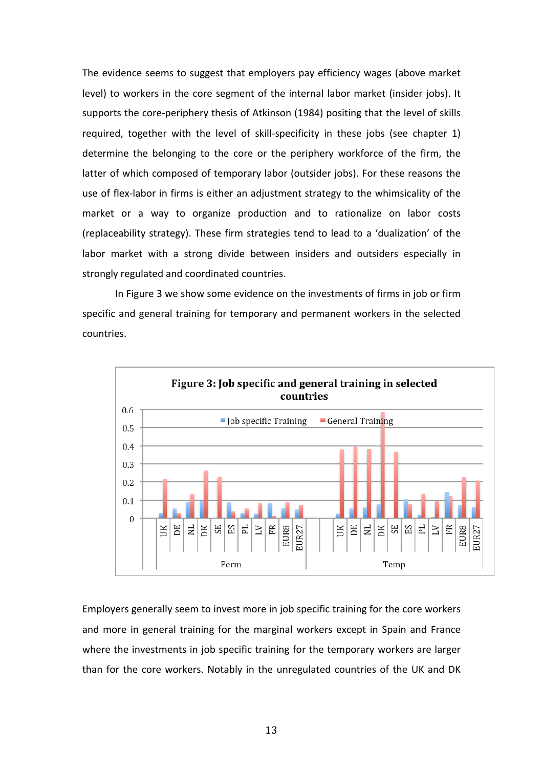The evidence seems to suggest that employers pay efficiency wages (above market level) to workers in the core segment of the internal labor market (insider jobs). It supports the core-periphery thesis of Atkinson (1984) positing that the level of skills required, together with the level of skill-specificity in these jobs (see chapter 1) determine the belonging to the core or the periphery workforce of the firm, the latter of which composed of temporary labor (outsider jobs). For these reasons the use of flex-labor in firms is either an adjustment strategy to the whimsicality of the market or a way to organize production and to rationalize on labor costs (replaceability strategy). These firm strategies tend to lead to a 'dualization' of the labor market with a strong divide between insiders and outsiders especially in strongly regulated and coordinated countries.

In Figure 3 we show some evidence on the investments of firms in job or firm specific and general training for temporary and permanent workers in the selected countries. 



Employers generally seem to invest more in job specific training for the core workers and more in general training for the marginal workers except in Spain and France where the investments in job specific training for the temporary workers are larger than for the core workers. Notably in the unregulated countries of the UK and DK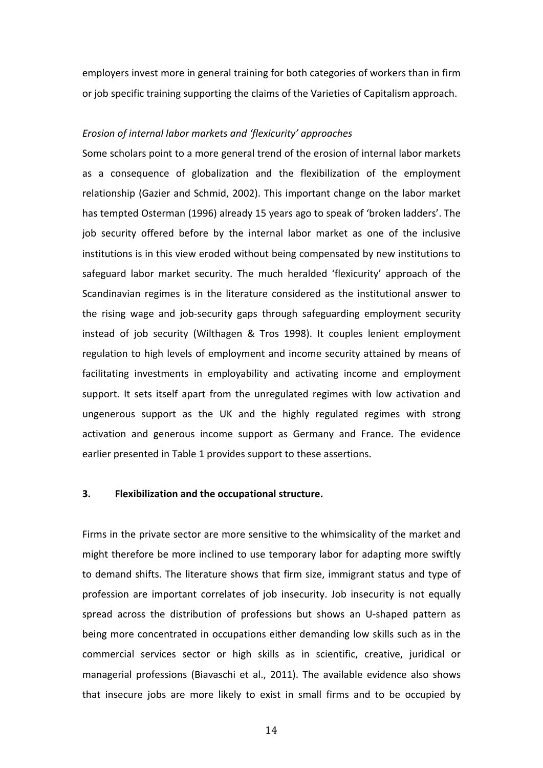employers invest more in general training for both categories of workers than in firm or job specific training supporting the claims of the Varieties of Capitalism approach.

#### *Erosion of internal labor markets and 'flexicurity' approaches*

Some scholars point to a more general trend of the erosion of internal labor markets as a consequence of globalization and the flexibilization of the employment relationship (Gazier and Schmid, 2002). This important change on the labor market has tempted Osterman (1996) already 15 years ago to speak of 'broken ladders'. The job security offered before by the internal labor market as one of the inclusive institutions is in this view eroded without being compensated by new institutions to safeguard labor market security. The much heralded 'flexicurity' approach of the Scandinavian regimes is in the literature considered as the institutional answer to the rising wage and job-security gaps through safeguarding employment security instead of job security (Wilthagen & Tros 1998). It couples lenient employment regulation to high levels of employment and income security attained by means of facilitating investments in employability and activating income and employment support. It sets itself apart from the unregulated regimes with low activation and ungenerous support as the UK and the highly regulated regimes with strong activation and generous income support as Germany and France. The evidence earlier presented in Table 1 provides support to these assertions.

## **3. Flexibilization and the occupational structure.**

Firms in the private sector are more sensitive to the whimsicality of the market and might therefore be more inclined to use temporary labor for adapting more swiftly to demand shifts. The literature shows that firm size, immigrant status and type of profession are important correlates of job insecurity. Job insecurity is not equally spread across the distribution of professions but shows an U-shaped pattern as being more concentrated in occupations either demanding low skills such as in the commercial services sector or high skills as in scientific, creative, juridical or managerial professions (Biavaschi et al., 2011). The available evidence also shows that insecure jobs are more likely to exist in small firms and to be occupied by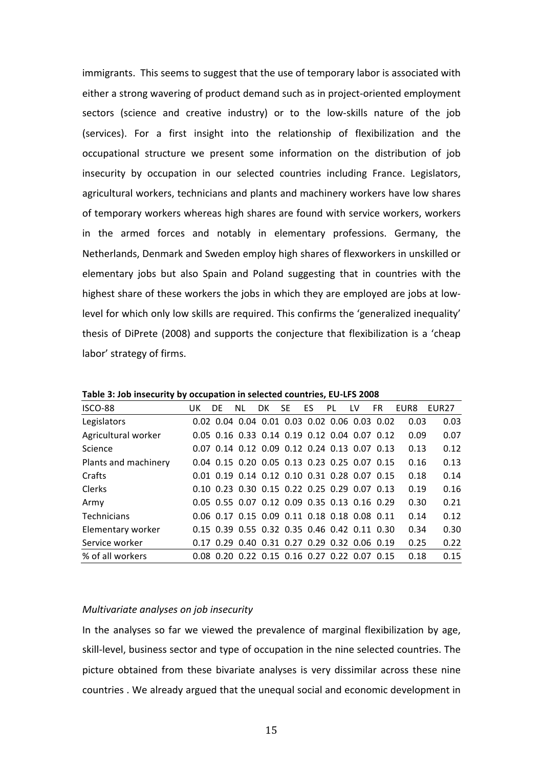immigrants. This seems to suggest that the use of temporary labor is associated with either a strong wavering of product demand such as in project-oriented employment sectors (science and creative industry) or to the low-skills nature of the job (services). For a first insight into the relationship of flexibilization and the occupational structure we present some information on the distribution of job insecurity by occupation in our selected countries including France. Legislators, agricultural workers, technicians and plants and machinery workers have low shares of temporary workers whereas high shares are found with service workers, workers in the armed forces and notably in elementary professions. Germany, the Netherlands, Denmark and Sweden employ high shares of flexworkers in unskilled or elementary jobs but also Spain and Poland suggesting that in countries with the highest share of these workers the jobs in which they are employed are jobs at lowlevel for which only low skills are required. This confirms the 'generalized inequality' thesis of DiPrete (2008) and supports the conjecture that flexibilization is a 'cheap labor' strategy of firms.

| ISCO-88              | UK. | DF. | NL. | DK. | SE. | ES. | PL                                           | LV | FR. | EUR8 | FUR <sub>27</sub> |
|----------------------|-----|-----|-----|-----|-----|-----|----------------------------------------------|----|-----|------|-------------------|
| Legislators          |     |     |     |     |     |     | 0.02 0.04 0.04 0.01 0.03 0.02 0.06 0.03 0.02 |    |     | 0.03 | 0.03              |
| Agricultural worker  |     |     |     |     |     |     | 0.05 0.16 0.33 0.14 0.19 0.12 0.04 0.07 0.12 |    |     | 0.09 | 0.07              |
| <b>Science</b>       |     |     |     |     |     |     | 0.07 0.14 0.12 0.09 0.12 0.24 0.13 0.07 0.13 |    |     | 0.13 | 0.12              |
| Plants and machinery |     |     |     |     |     |     | 0.04 0.15 0.20 0.05 0.13 0.23 0.25 0.07 0.15 |    |     | 0.16 | 0.13              |
| Crafts               |     |     |     |     |     |     | 0.01 0.19 0.14 0.12 0.10 0.31 0.28 0.07 0.15 |    |     | 0.18 | 0.14              |
| <b>Clerks</b>        |     |     |     |     |     |     | 0.10 0.23 0.30 0.15 0.22 0.25 0.29 0.07 0.13 |    |     | 0.19 | 0.16              |
| Army                 |     |     |     |     |     |     | 0.05 0.55 0.07 0.12 0.09 0.35 0.13 0.16 0.29 |    |     | 0.30 | 0.21              |
| <b>Technicians</b>   |     |     |     |     |     |     | 0.06 0.17 0.15 0.09 0.11 0.18 0.18 0.08 0.11 |    |     | 0.14 | 0.12              |
| Elementary worker    |     |     |     |     |     |     | 0.15 0.39 0.55 0.32 0.35 0.46 0.42 0.11 0.30 |    |     | 0.34 | 0.30              |
| Service worker       |     |     |     |     |     |     | 0.17 0.29 0.40 0.31 0.27 0.29 0.32 0.06 0.19 |    |     | 0.25 | 0.22              |
| % of all workers     |     |     |     |     |     |     | 0.08 0.20 0.22 0.15 0.16 0.27 0.22 0.07 0.15 |    |     | 0.18 | 0.15              |

Table 3: Job insecurity by occupation in selected countries, EU-LFS 2008

#### *Multivariate analyses on job insecurity*

In the analyses so far we viewed the prevalence of marginal flexibilization by age, skill-level, business sector and type of occupation in the nine selected countries. The picture obtained from these bivariate analyses is very dissimilar across these nine countries . We already argued that the unequal social and economic development in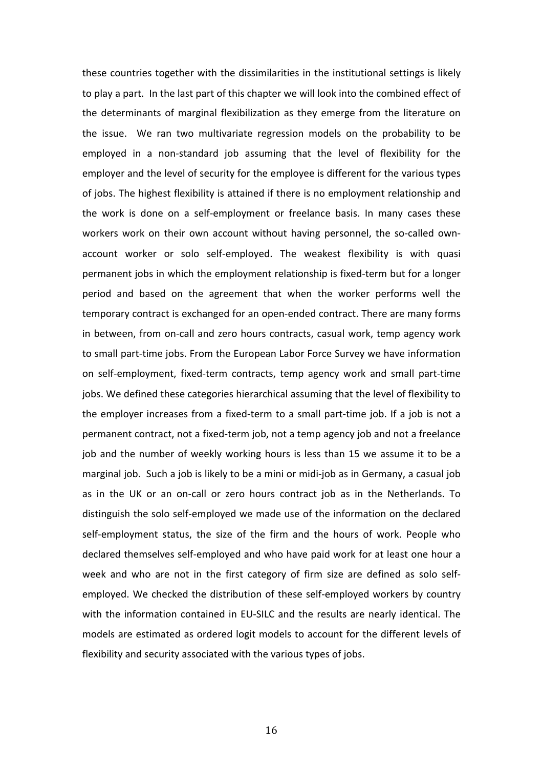these countries together with the dissimilarities in the institutional settings is likely to play a part. In the last part of this chapter we will look into the combined effect of the determinants of marginal flexibilization as they emerge from the literature on the issue. We ran two multivariate regression models on the probability to be employed in a non-standard job assuming that the level of flexibility for the employer and the level of security for the employee is different for the various types of jobs. The highest flexibility is attained if there is no employment relationship and the work is done on a self-employment or freelance basis. In many cases these workers work on their own account without having personnel, the so-called ownaccount worker or solo self-employed. The weakest flexibility is with quasi permanent jobs in which the employment relationship is fixed-term but for a longer period and based on the agreement that when the worker performs well the temporary contract is exchanged for an open-ended contract. There are many forms in between, from on-call and zero hours contracts, casual work, temp agency work to small part-time jobs. From the European Labor Force Survey we have information on self-employment, fixed-term contracts, temp agency work and small part-time jobs. We defined these categories hierarchical assuming that the level of flexibility to the employer increases from a fixed-term to a small part-time job. If a job is not a permanent contract, not a fixed-term job, not a temp agency job and not a freelance job and the number of weekly working hours is less than 15 we assume it to be a marginal job. Such a job is likely to be a mini or midi-job as in Germany, a casual job as in the UK or an on-call or zero hours contract job as in the Netherlands. To distinguish the solo self-employed we made use of the information on the declared self-employment status, the size of the firm and the hours of work. People who declared themselves self-employed and who have paid work for at least one hour a week and who are not in the first category of firm size are defined as solo selfemployed. We checked the distribution of these self-employed workers by country with the information contained in EU-SILC and the results are nearly identical. The models are estimated as ordered logit models to account for the different levels of flexibility and security associated with the various types of jobs.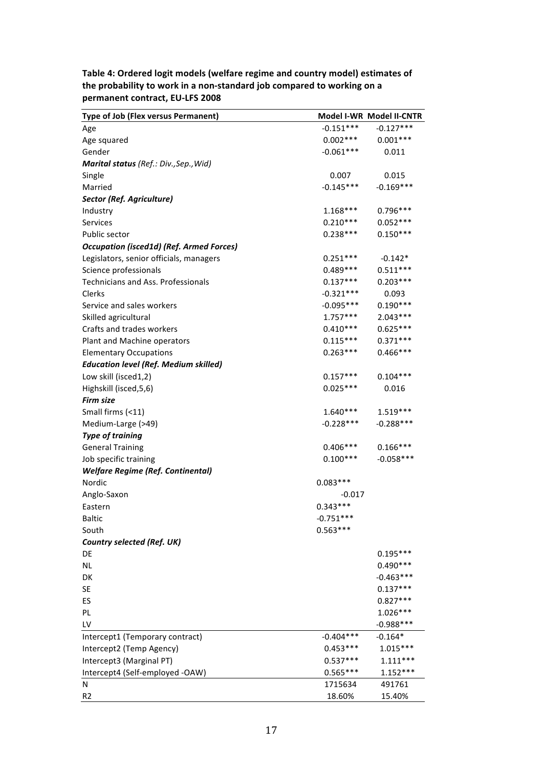| Type of Job (Flex versus Permanent)             |             | Model I-WR Model II-CNTR |
|-------------------------------------------------|-------------|--------------------------|
| Age                                             | $-0.151***$ | $-0.127***$              |
| Age squared                                     | $0.002***$  | $0.001***$               |
| Gender                                          | $-0.061***$ | 0.011                    |
| Marital status (Ref.: Div., Sep., Wid)          |             |                          |
| Single                                          | 0.007       | 0.015                    |
| Married                                         | $-0.145***$ | $-0.169***$              |
| Sector (Ref. Agriculture)                       |             |                          |
| Industry                                        | $1.168***$  | $0.796***$               |
| Services                                        | $0.210***$  | $0.052***$               |
| Public sector                                   | $0.238***$  | $0.150***$               |
| <b>Occupation (isced1d) (Ref. Armed Forces)</b> |             |                          |
| Legislators, senior officials, managers         | $0.251***$  | $-0.142*$                |
| Science professionals                           | $0.489***$  | $0.511***$               |
| <b>Technicians and Ass. Professionals</b>       | $0.137***$  | $0.203***$               |
| Clerks                                          | $-0.321***$ | 0.093                    |
| Service and sales workers                       | $-0.095***$ | $0.190***$               |
| Skilled agricultural                            | $1.757***$  | $2.043***$               |
| Crafts and trades workers                       | $0.410***$  | $0.625***$               |
| Plant and Machine operators                     | $0.115***$  | $0.371***$               |
| <b>Elementary Occupations</b>                   | $0.263***$  | $0.466***$               |
| <b>Education level (Ref. Medium skilled)</b>    |             |                          |
| Low skill (isced1,2)                            | $0.157***$  | $0.104***$               |
| Highskill (isced, 5, 6)                         | $0.025***$  | 0.016                    |
| <b>Firm size</b>                                |             |                          |
| Small firms (<11)                               | $1.640***$  | $1.519***$               |
| Medium-Large (>49)                              | $-0.228***$ | $-0.288***$              |
| <b>Type of training</b>                         |             |                          |
| <b>General Training</b>                         | $0.406***$  | $0.166***$               |
| Job specific training                           | $0.100***$  | $-0.058***$              |
| <b>Welfare Regime (Ref. Continental)</b>        |             |                          |
| Nordic                                          | $0.083***$  |                          |
| Anglo-Saxon                                     | $-0.017$    |                          |
| Eastern                                         | $0.343***$  |                          |
| <b>Baltic</b>                                   | $-0.751***$ |                          |
| South                                           | $0.563***$  |                          |
| <b>Country selected (Ref. UK)</b>               |             |                          |
| DE                                              |             | $0.195***$               |
| NL.                                             |             | $0.490***$               |
| DK                                              |             | $-0.463***$              |
| <b>SE</b>                                       |             | $0.137***$               |
| ES                                              |             | $0.827***$               |
| PL.                                             |             | $1.026***$               |
| LV                                              |             | $-0.988***$              |
| Intercept1 (Temporary contract)                 | $-0.404***$ | $-0.164*$                |
| Intercept2 (Temp Agency)                        | $0.453***$  | $1.015***$               |
| Intercept3 (Marginal PT)                        | $0.537***$  | $1.111***$               |
| Intercept4 (Self-employed -OAW)                 | $0.565***$  | $1.152***$               |
| N                                               | 1715634     | 491761                   |
| R <sub>2</sub>                                  | 18.60%      | 15.40%                   |

Table 4: Ordered logit models (welfare regime and country model) estimates of the probability to work in a non-standard job compared to working on a **permanent contract, EU-LFS 2008**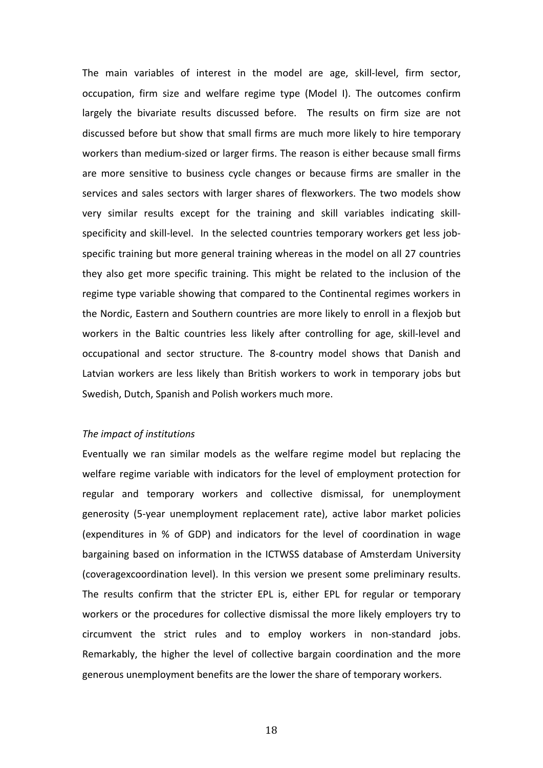The main variables of interest in the model are age, skill-level, firm sector, occupation, firm size and welfare regime type (Model I). The outcomes confirm largely the bivariate results discussed before. The results on firm size are not discussed before but show that small firms are much more likely to hire temporary workers than medium-sized or larger firms. The reason is either because small firms are more sensitive to business cycle changes or because firms are smaller in the services and sales sectors with larger shares of flexworkers. The two models show very similar results except for the training and skill variables indicating skillspecificity and skill-level. In the selected countries temporary workers get less jobspecific training but more general training whereas in the model on all 27 countries they also get more specific training. This might be related to the inclusion of the regime type variable showing that compared to the Continental regimes workers in the Nordic, Eastern and Southern countries are more likely to enroll in a flexjob but workers in the Baltic countries less likely after controlling for age, skill-level and occupational and sector structure. The 8-country model shows that Danish and Latvian workers are less likely than British workers to work in temporary jobs but Swedish, Dutch, Spanish and Polish workers much more.

## The *impact* of *institutions*

Eventually we ran similar models as the welfare regime model but replacing the welfare regime variable with indicators for the level of employment protection for regular and temporary workers and collective dismissal, for unemployment generosity (5-year unemployment replacement rate), active labor market policies (expenditures in % of GDP) and indicators for the level of coordination in wage bargaining based on information in the ICTWSS database of Amsterdam University (coveragexcoordination level). In this version we present some preliminary results. The results confirm that the stricter EPL is, either EPL for regular or temporary workers or the procedures for collective dismissal the more likely employers try to circumvent the strict rules and to employ workers in non-standard jobs. Remarkably, the higher the level of collective bargain coordination and the more generous unemployment benefits are the lower the share of temporary workers.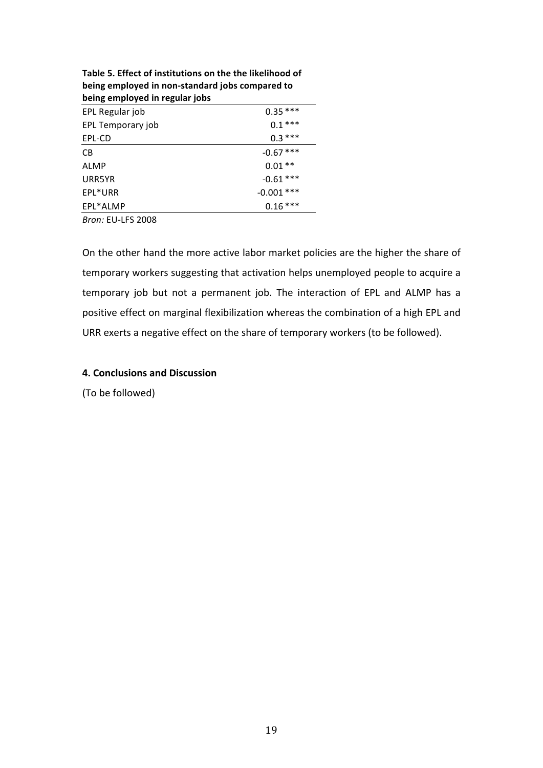| $x_1, x_2, \ldots, x_n$ . The contract of the compared to |              |
|-----------------------------------------------------------|--------------|
| being employed in regular jobs                            |              |
| EPL Regular job                                           | $0.35***$    |
| EPL Temporary job                                         | $0.1***$     |
| EPL-CD                                                    | $0.3***$     |
| CB                                                        | $-0.67$ ***  |
| ALMP                                                      | $0.01**$     |
| URR5YR                                                    | $-0.61***$   |
| EPL*URR                                                   | $-0.001$ *** |
| EPL*ALMP                                                  | $0.16***$    |
|                                                           |              |

Table 5. Effect of institutions on the the likelihood of **being employed in non-standard iobs compared to** 

*Bron:* EU-LFS 2008

On the other hand the more active labor market policies are the higher the share of temporary workers suggesting that activation helps unemployed people to acquire a temporary job but not a permanent job. The interaction of EPL and ALMP has a positive effect on marginal flexibilization whereas the combination of a high EPL and URR exerts a negative effect on the share of temporary workers (to be followed).

## **4. Conclusions and Discussion**

(To be followed)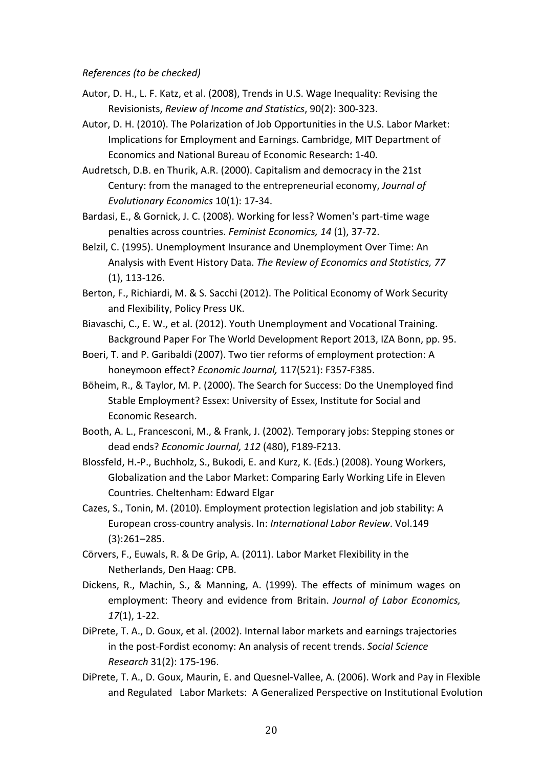## *References (to be checked)*

- Autor, D. H., L. F. Katz, et al. (2008), Trends in U.S. Wage Inequality: Revising the Revisionists, Review of Income and Statistics, 90(2): 300-323.
- Autor, D. H. (2010). The Polarization of Job Opportunities in the U.S. Labor Market: Implications for Employment and Earnings. Cambridge, MIT Department of Economics and National Bureau of Economic Research: 1-40.
- Audretsch, D.B. en Thurik, A.R. (2000). Capitalism and democracy in the 21st Century: from the managed to the entrepreneurial economy, *Journal of Evolutionary Economics* 10(1): 17-34.
- Bardasi, E., & Gornick, J. C. (2008). Working for less? Women's part-time wage penalties across countries. Feminist Economics, 14 (1), 37-72.
- Belzil, C. (1995). Unemployment Insurance and Unemployment Over Time: An Analysis with Event History Data. The Review of Economics and Statistics, 77  $(1), 113-126.$
- Berton, F., Richiardi, M. & S. Sacchi (2012). The Political Economy of Work Security and Flexibility, Policy Press UK.
- Biavaschi, C., E. W., et al. (2012). Youth Unemployment and Vocational Training. Background Paper For The World Development Report 2013, IZA Bonn, pp. 95.
- Boeri, T. and P. Garibaldi (2007). Two tier reforms of employment protection: A honeymoon effect? *Economic Journal*, 117(521): F357-F385.
- Böheim, R., & Taylor, M. P. (2000). The Search for Success: Do the Unemployed find Stable Employment? Essex: University of Essex, Institute for Social and Economic Research.
- Booth, A. L., Francesconi, M., & Frank, J. (2002). Temporary jobs: Stepping stones or dead ends? *Economic Journal, 112* (480), F189-F213.
- Blossfeld, H.-P., Buchholz, S., Bukodi, E. and Kurz, K. (Eds.) (2008). Young Workers, Globalization and the Labor Market: Comparing Early Working Life in Eleven Countries. Cheltenham: Edward Elgar
- Cazes, S., Tonin, M. (2010). Employment protection legislation and job stability: A European cross-country analysis. In: *International Labor Review*. Vol.149 (3):261–285.
- Cörvers, F., Euwals, R. & De Grip, A. (2011). Labor Market Flexibility in the Netherlands, Den Haag: CPB.
- Dickens, R., Machin, S., & Manning, A. (1999). The effects of minimum wages on employment: Theory and evidence from Britain. *Journal of Labor Economics*, *17*(1), 1-22.
- DiPrete, T. A., D. Goux, et al. (2002). Internal labor markets and earnings trajectories in the post-Fordist economy: An analysis of recent trends. *Social Science Research* 31(2): 175-196.
- DiPrete, T. A., D. Goux, Maurin, E. and Quesnel-Vallee, A. (2006). Work and Pay in Flexible and Regulated Labor Markets: A Generalized Perspective on Institutional Evolution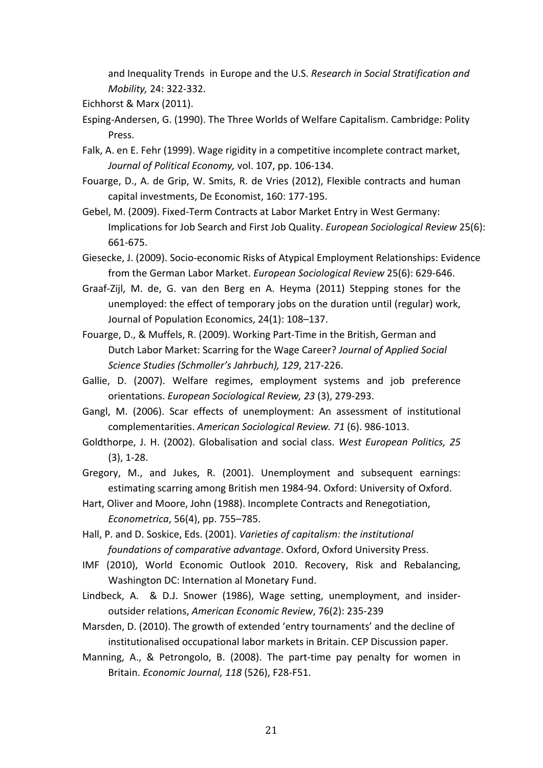and Inequality Trends in Europe and the U.S. *Research in Social Stratification and Mobility,* 24: 322-332.

Eichhorst & Marx (2011).

- Esping-Andersen, G. (1990). The Three Worlds of Welfare Capitalism. Cambridge: Polity Press.
- Falk, A. en E. Fehr (1999). Wage rigidity in a competitive incomplete contract market, Journal of Political Economy, vol. 107, pp. 106-134.
- Fouarge, D., A. de Grip, W. Smits, R. de Vries (2012), Flexible contracts and human capital investments, De Economist, 160: 177-195.
- Gebel, M. (2009). Fixed-Term Contracts at Labor Market Entry in West Germany: Implications for Job Search and First Job Quality. *European Sociological Review* 25(6): 661-675.
- Giesecke, J. (2009). Socio-economic Risks of Atypical Employment Relationships: Evidence from the German Labor Market. *European Sociological Review* 25(6): 629-646.
- Graaf-Zijl, M. de, G. van den Berg en A. Heyma (2011) Stepping stones for the unemployed: the effect of temporary jobs on the duration until (regular) work, Journal of Population Economics, 24(1): 108-137.
- Fouarge, D., & Muffels, R. (2009). Working Part-Time in the British, German and Dutch Labor Market: Scarring for the Wage Career? *Journal of Applied Social Science Studies (Schmoller's Jahrbuch), 129*, 217-226.
- Gallie, D. (2007). Welfare regimes, employment systems and job preference orientations. *European Sociological Review, 23* (3), 279-293.
- Gangl, M. (2006). Scar effects of unemployment: An assessment of institutional complementarities. *American Sociological Review. 71* (6). 986-1013.
- Goldthorpe, J. H. (2002). Globalisation and social class. West European Politics, 25  $(3)$ , 1-28.
- Gregory, M., and Jukes, R. (2001). Unemployment and subsequent earnings: estimating scarring among British men 1984-94. Oxford: University of Oxford.
- Hart, Oliver and Moore, John (1988). Incomplete Contracts and Renegotiation, *Econometrica*, 56(4), pp. 755–785.
- Hall, P. and D. Soskice, Eds. (2001). *Varieties of capitalism: the institutional foundations of comparative advantage.* Oxford, Oxford University Press.
- IMF (2010), World Economic Outlook 2010. Recovery, Risk and Rebalancing, Washington DC: Internation al Monetary Fund.
- Lindbeck, A. & D.J. Snower (1986), Wage setting, unemployment, and insideroutsider relations, American Economic Review, 76(2): 235-239
- Marsden, D. (2010). The growth of extended 'entry tournaments' and the decline of institutionalised occupational labor markets in Britain. CEP Discussion paper.
- Manning, A., & Petrongolo, B. (2008). The part-time pay penalty for women in Britain. *Economic Journal, 118* (526), F28-F51.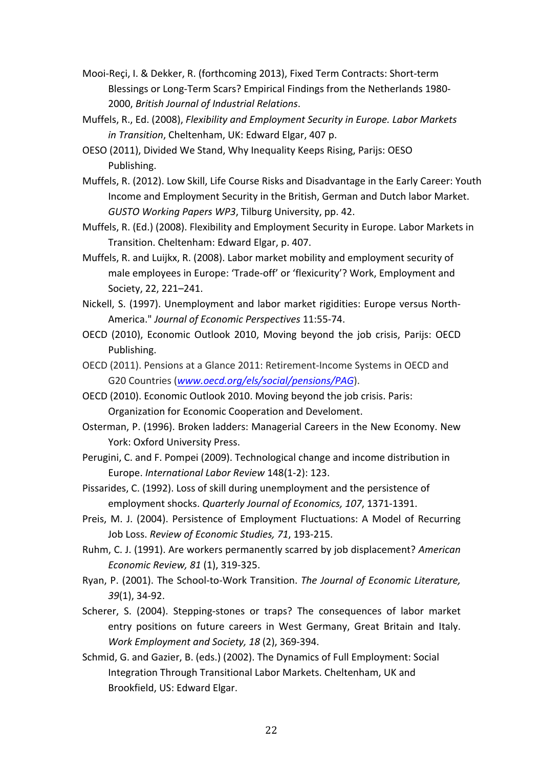- Mooi-Reci, I. & Dekker, R. (forthcoming 2013), Fixed Term Contracts: Short-term Blessings or Long-Term Scars? Empirical Findings from the Netherlands 1980-2000, *British Journal of Industrial Relations*.
- Muffels, R., Ed. (2008), *Flexibility and Employment Security in Europe. Labor Markets in Transition*, Cheltenham, UK: Edward Elgar, 407 p.
- OESO (2011), Divided We Stand, Why Inequality Keeps Rising, Parijs: OESO Publishing.
- Muffels, R. (2012). Low Skill, Life Course Risks and Disadvantage in the Early Career: Youth Income and Employment Security in the British, German and Dutch labor Market. *GUSTO Working Papers WP3, Tilburg University, pp. 42.*
- Muffels, R. (Ed.) (2008). Flexibility and Employment Security in Europe. Labor Markets in Transition. Cheltenham: Edward Elgar, p. 407.
- Muffels, R. and Luijkx, R. (2008). Labor market mobility and employment security of male employees in Europe: 'Trade-off' or 'flexicurity'? Work, Employment and Society, 22, 221-241.
- Nickell, S. (1997). Unemployment and labor market rigidities: Europe versus North-America." *Journal of Economic Perspectives* 11:55-74.
- OECD (2010), Economic Outlook 2010, Moving beyond the job crisis, Parijs: OECD Publishing.
- OECD (2011). Pensions at a Glance 2011: Retirement-Income Systems in OECD and G20 Countries (www.oecd.org/els/social/pensions/PAG).
- OECD (2010). Economic Outlook 2010. Moving beyond the job crisis. Paris: Organization for Economic Cooperation and Develoment.
- Osterman, P. (1996). Broken ladders: Managerial Careers in the New Economy. New York: Oxford University Press.
- Perugini, C. and F. Pompei (2009). Technological change and income distribution in Europe. *International Labor Review* 148(1-2): 123.
- Pissarides, C. (1992). Loss of skill during unemployment and the persistence of employment shocks. *Quarterly Journal of Economics, 107*, 1371-1391.
- Preis, M. J. (2004). Persistence of Employment Fluctuations: A Model of Recurring Job Loss. Review of Economic Studies, 71, 193-215.
- Ruhm, C. J. (1991). Are workers permanently scarred by job displacement? *American Economic Review, 81* (1), 319-325.
- Ryan, P. (2001). The School-to-Work Transition. The Journal of Economic Literature, *39*(1), 34-92.
- Scherer, S. (2004). Stepping-stones or traps? The consequences of labor market entry positions on future careers in West Germany, Great Britain and Italy. *Work Employment and Society, 18* (2), 369-394.
- Schmid, G. and Gazier, B. (eds.) (2002). The Dynamics of Full Employment: Social Integration Through Transitional Labor Markets. Cheltenham, UK and Brookfield, US: Edward Elgar.